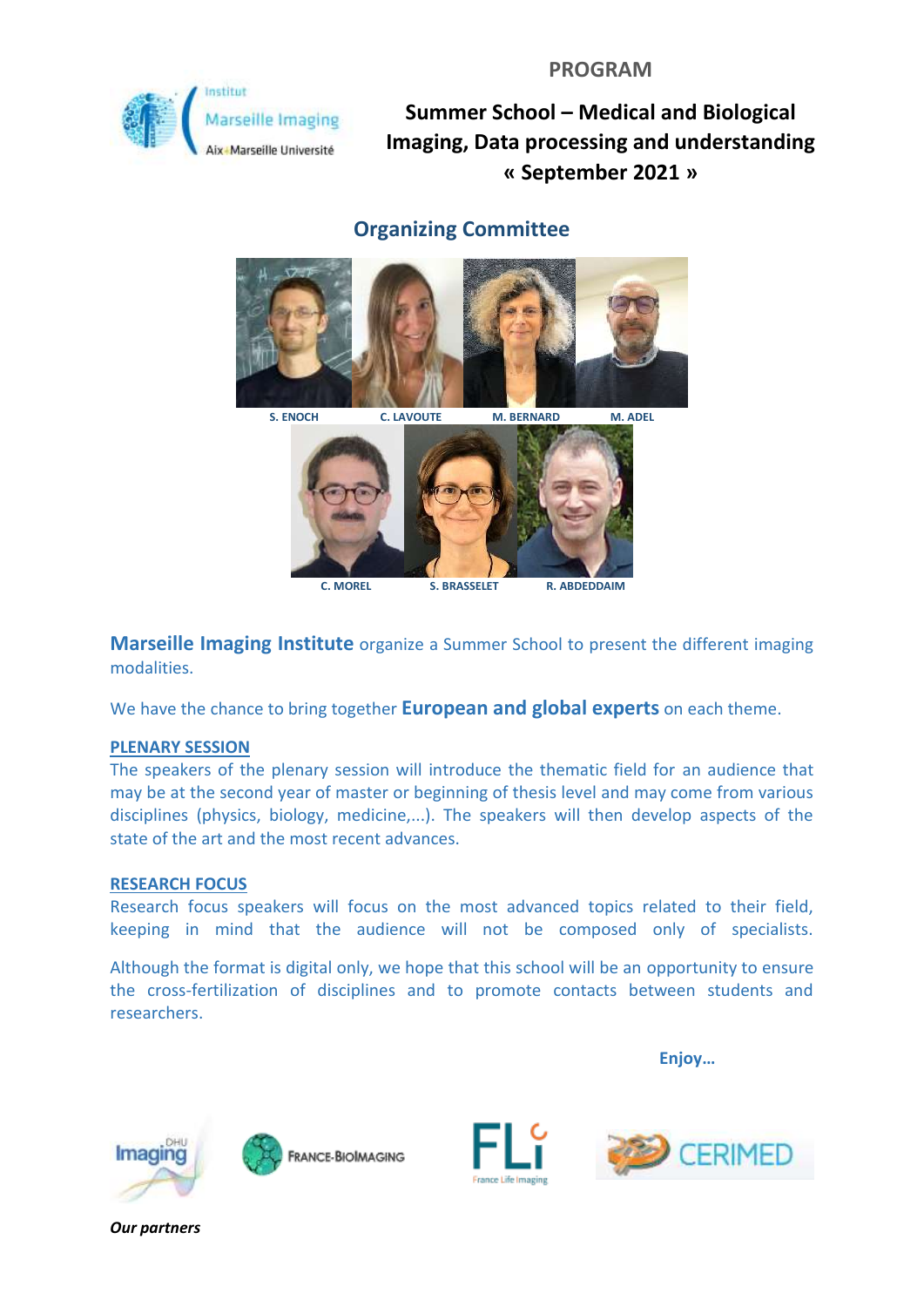

# **Organizing Committee**



**Marseille Imaging Institute** organize a Summer School to present the different imaging modalities.

We have the chance to bring together **European and global experts** on each theme.

### **PLENARY SESSION**

The speakers of the plenary session will introduce the thematic field for an audience that may be at the second year of master or beginning of thesis level and may come from various disciplines (physics, biology, medicine,...). The speakers will then develop aspects of the state of the art and the most recent advances.

### **RESEARCH FOCUS**

Research focus speakers will focus on the most advanced topics related to their field, keeping in mind that the audience will not be composed only of specialists.

Although the format is digital only, we hope that this school will be an opportunity to ensure the cross-fertilization of disciplines and to promote contacts between students and researchers.

**Enjoy…**







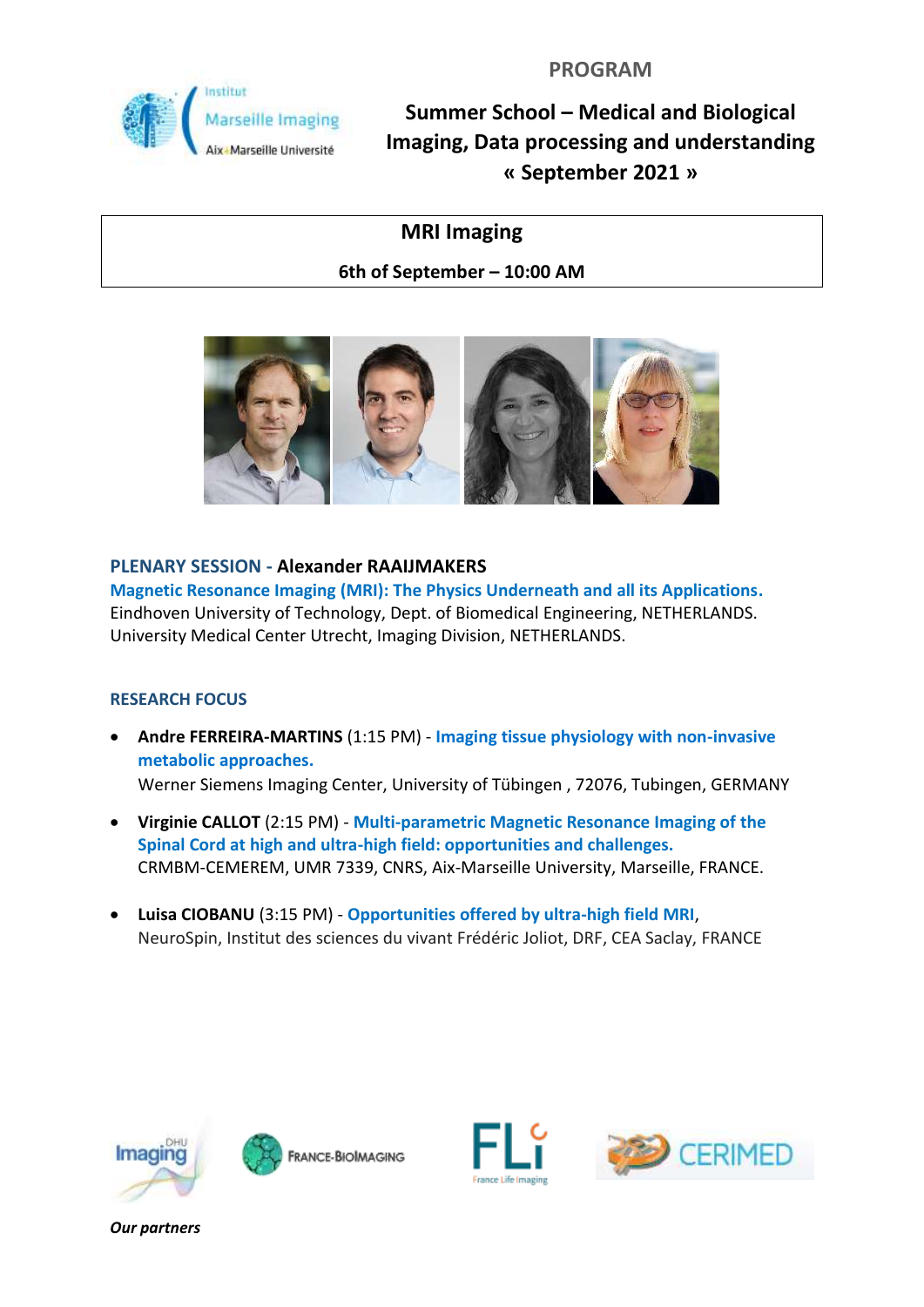

# **MRI Imaging**

**6th of September – 10:00 AM**



### **PLENARY SESSION - Alexander RAAIJMAKERS**

**Magnetic Resonance Imaging (MRI): The Physics Underneath and all its Applications.** Eindhoven University of Technology, Dept. of Biomedical Engineering, NETHERLANDS. University Medical Center Utrecht, Imaging Division, NETHERLANDS.

### **RESEARCH FOCUS**

- **Andre FERREIRA-MARTINS** (1:15 PM) **Imaging tissue physiology with non-invasive metabolic approaches.**  Werner Siemens Imaging Center, University of Tübingen , 72076, Tubingen, GERMANY
- **Virginie CALLOT** (2:15 PM) **Multi-parametric Magnetic Resonance Imaging of the Spinal Cord at high and ultra-high field: opportunities and challenges.** CRMBM-CEMEREM, UMR 7339, CNRS, Aix-Marseille University, Marseille, FRANCE.
- **Luisa CIOBANU** (3:15 PM) **Opportunities offered by ultra-high field MRI**, NeuroSpin, Institut des sciences du vivant Frédéric Joliot, DRF, CEA Saclay, FRANCE







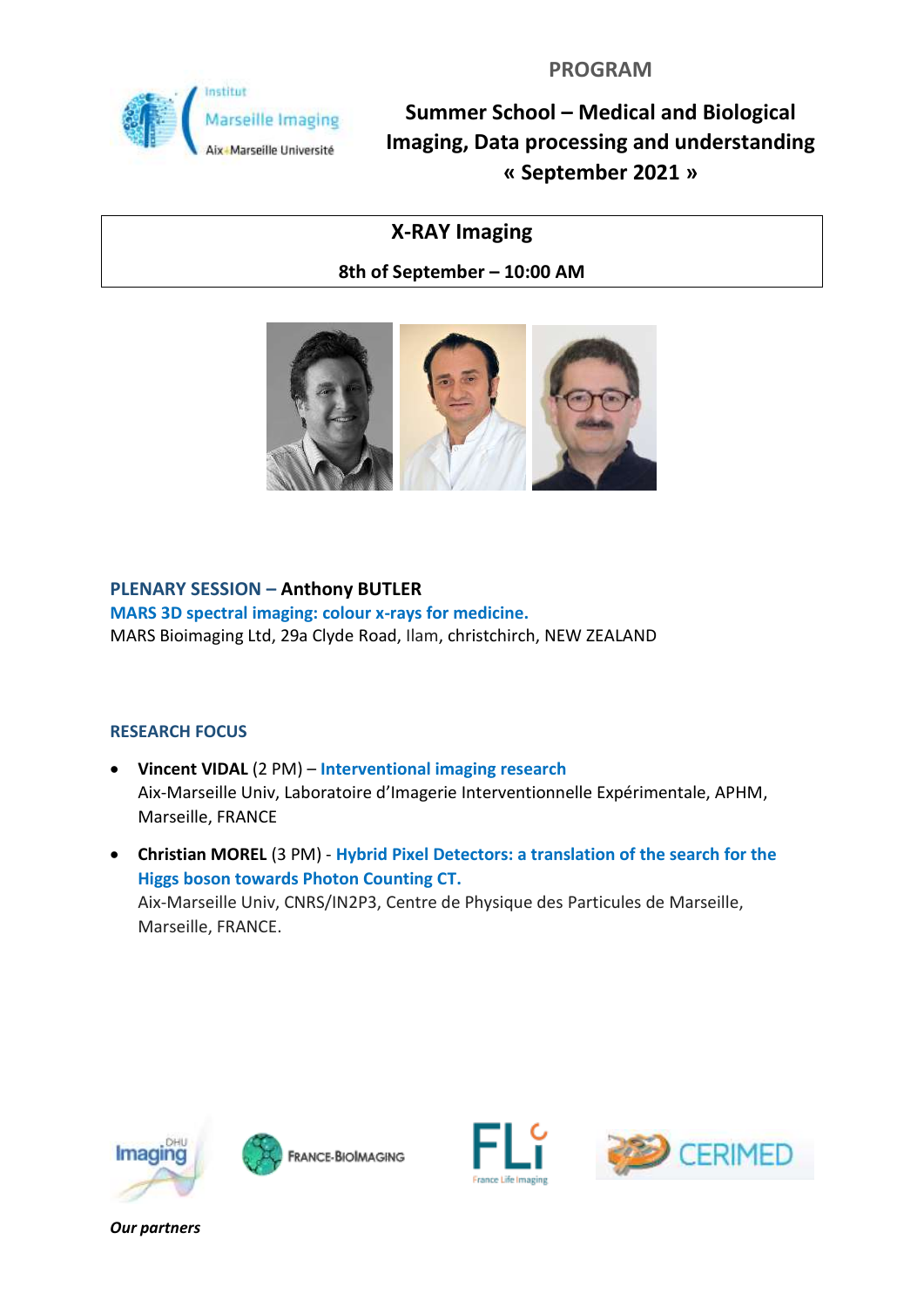

# **X-RAY Imaging**

**8th of September – 10:00 AM**



### **PLENARY SESSION – Anthony BUTLER**

**MARS 3D spectral imaging: colour x-rays for medicine.**  MARS Bioimaging Ltd, 29a Clyde Road, Ilam, christchirch, NEW ZEALAND

### **RESEARCH FOCUS**

- **Vincent VIDAL** (2 PM) **Interventional imaging research** Aix-Marseille Univ, Laboratoire d'Imagerie Interventionnelle Expérimentale, APHM, Marseille, FRANCE
- **Christian MOREL** (3 PM) **Hybrid Pixel Detectors: a translation of the search for the Higgs boson towards Photon Counting CT.**  Aix-Marseille Univ, CNRS/IN2P3, Centre de Physique des Particules de Marseille, Marseille, FRANCE.







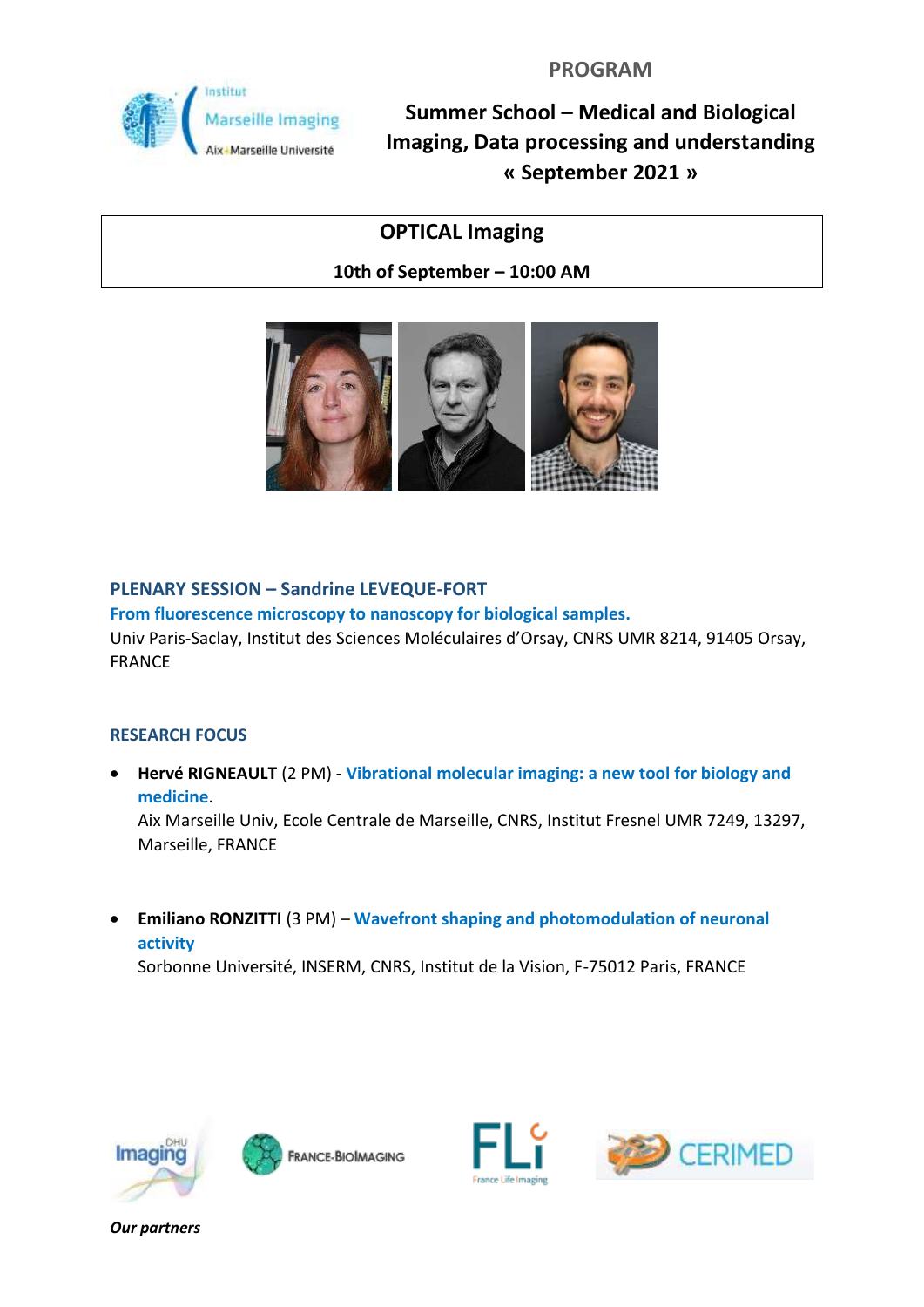

# **OPTICAL Imaging**

**10th of September – 10:00 AM**



## **PLENARY SESSION – Sandrine LEVEQUE-FORT**

**From fluorescence microscopy to nanoscopy for biological samples.**

Univ Paris-Saclay, Institut des Sciences Moléculaires d'Orsay, CNRS UMR 8214, 91405 Orsay, FRANCE

### **RESEARCH FOCUS**

• **Hervé RIGNEAULT** (2 PM) - **Vibrational molecular imaging: a new tool for biology and medicine**.

Aix Marseille Univ, Ecole Centrale de Marseille, CNRS, Institut Fresnel UMR 7249, 13297, Marseille, FRANCE

• **Emiliano RONZITTI** (3 PM) – **Wavefront shaping and photomodulation of neuronal activity**

Sorbonne Université, INSERM, CNRS, Institut de la Vision, F-75012 Paris, FRANCE







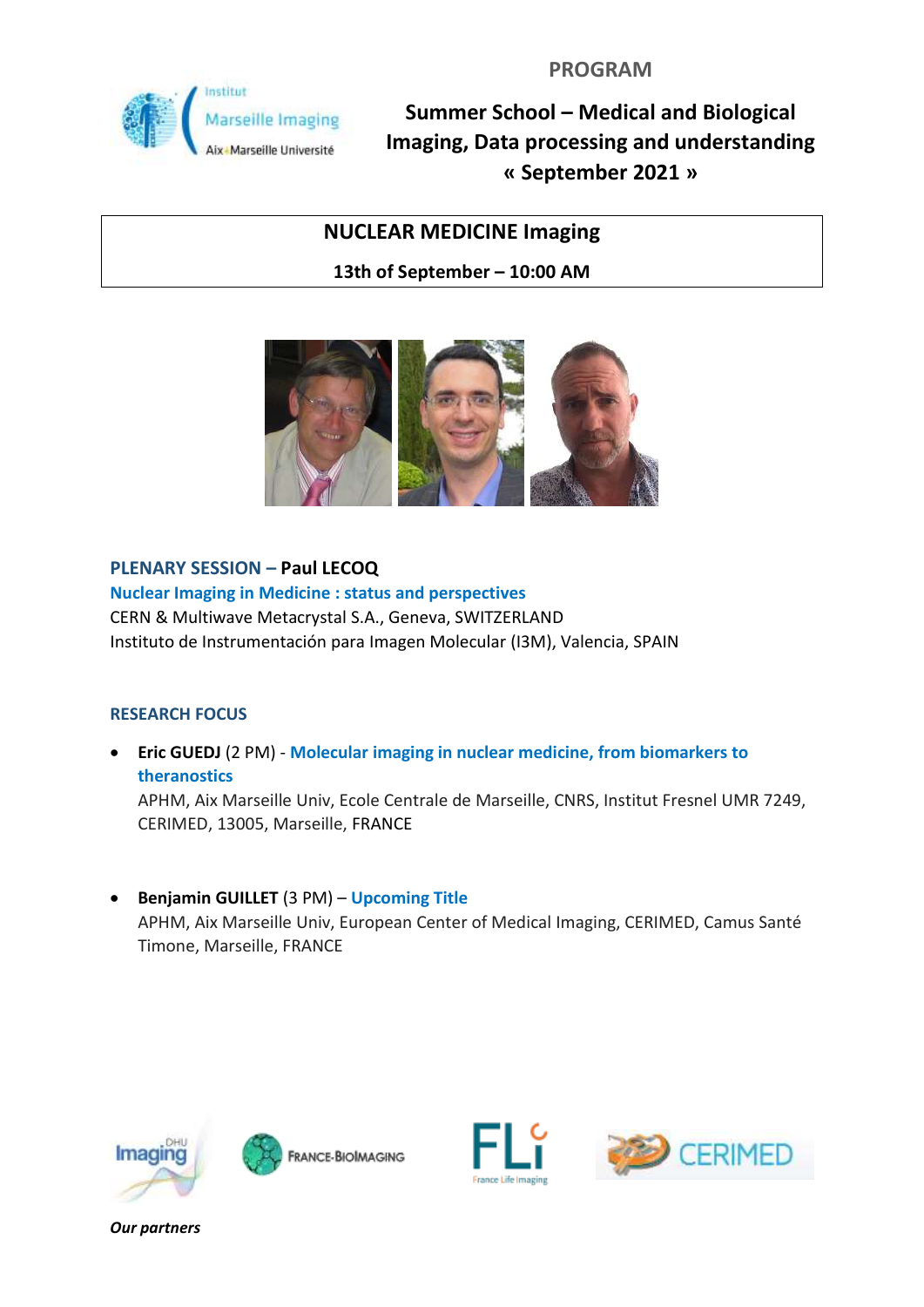

# **NUCLEAR MEDICINE Imaging**

**13th of September – 10:00 AM**



## **PLENARY SESSION – Paul LECOQ**

**Nuclear Imaging in Medicine : status and perspectives** CERN & Multiwave Metacrystal S.A., Geneva, SWITZERLAND Instituto de Instrumentación para Imagen Molecular (I3M), Valencia, SPAIN

### **RESEARCH FOCUS**

• **Eric GUEDJ** (2 PM) - **Molecular imaging in nuclear medicine, from biomarkers to theranostics**

APHM, Aix Marseille Univ, Ecole Centrale de Marseille, CNRS, Institut Fresnel UMR 7249, CERIMED, 13005, Marseille, FRANCE

• **Benjamin GUILLET** (3 PM) – **Upcoming Title** APHM, Aix Marseille Univ, European Center of Medical Imaging, CERIMED, Camus Santé Timone, Marseille, FRANCE







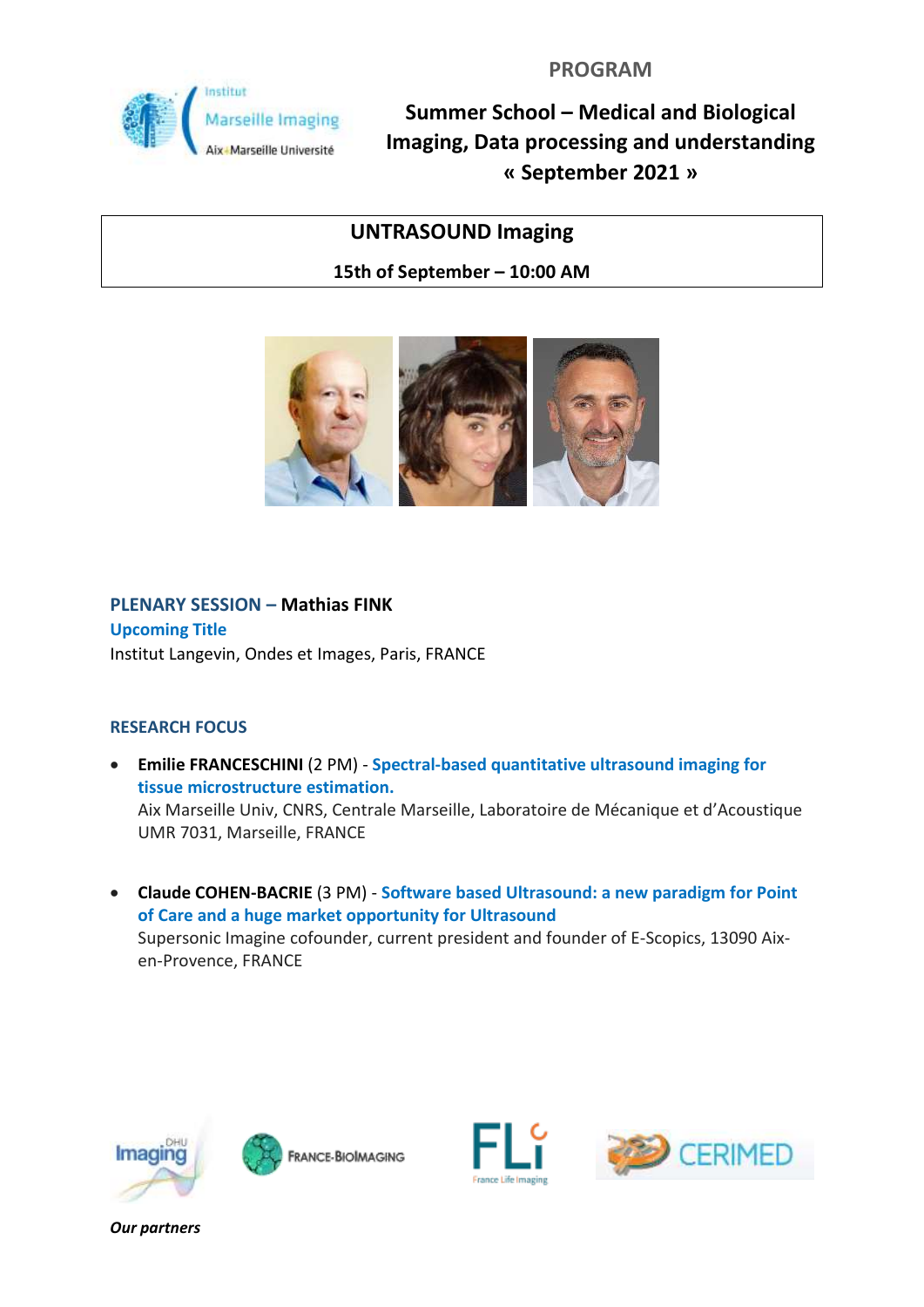

# **UNTRASOUND Imaging**

**15th of September – 10:00 AM**



# **PLENARY SESSION – Mathias FINK Upcoming Title**

Institut Langevin, Ondes et Images, Paris, FRANCE

### **RESEARCH FOCUS**

- **Emilie FRANCESCHINI** (2 PM) **Spectral-based quantitative ultrasound imaging for tissue microstructure estimation.** Aix Marseille Univ, CNRS, Centrale Marseille, Laboratoire de Mécanique et d'Acoustique UMR 7031, Marseille, FRANCE
- **Claude COHEN-BACRIE** (3 PM) **Software based Ultrasound: a new paradigm for Point of Care and a huge market opportunity for Ultrasound** Supersonic Imagine cofounder, current president and founder of E-Scopics, 13090 Aixen-Provence, FRANCE







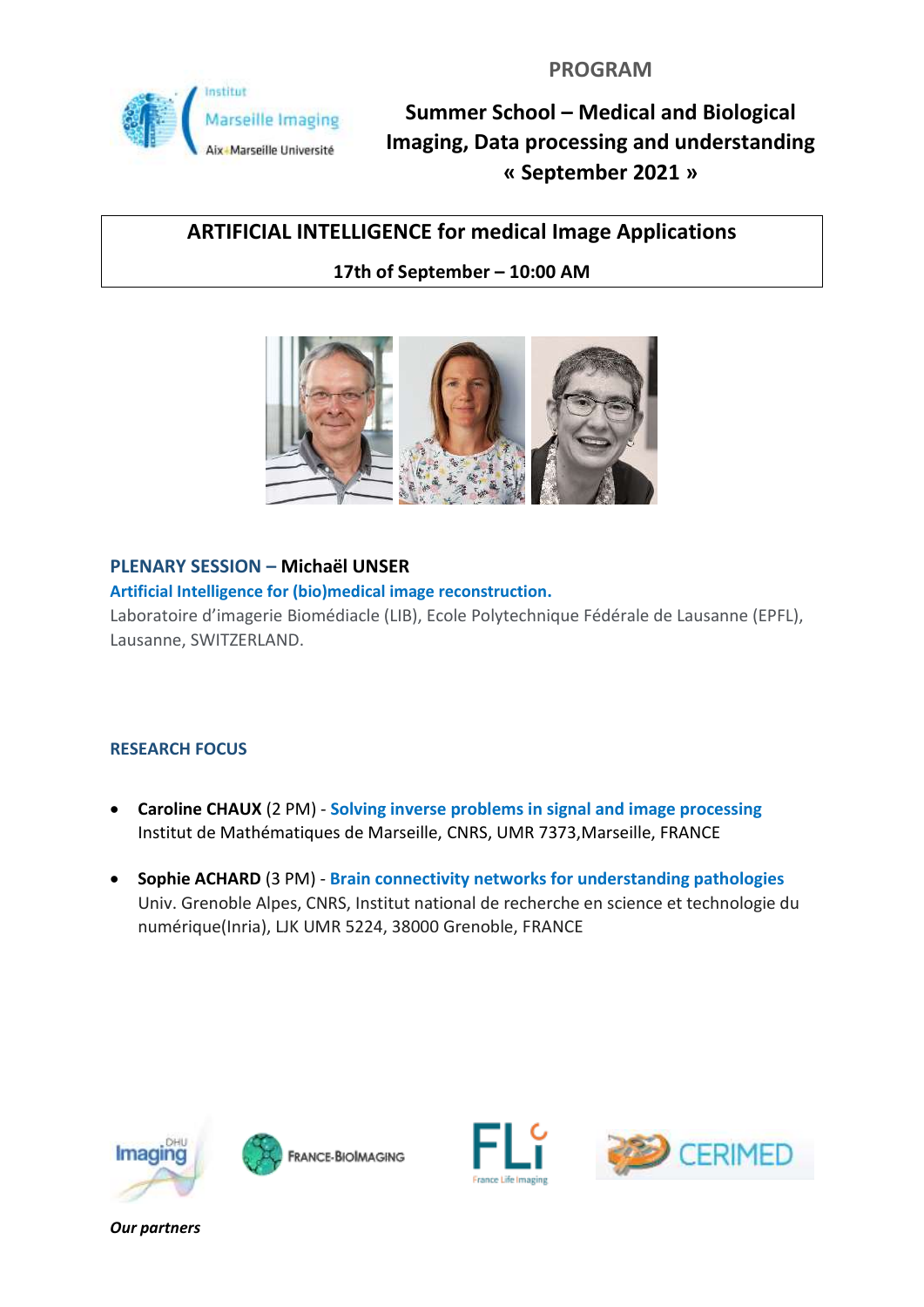

# **ARTIFICIAL INTELLIGENCE for medical Image Applications**

## **17th of September – 10:00 AM**



### **PLENARY SESSION – Michaël UNSER**

#### **Artificial Intelligence for (bio)medical image reconstruction.**

Laboratoire d'imagerie Biomédiacle (LIB), Ecole Polytechnique Fédérale de Lausanne (EPFL), Lausanne, SWITZERLAND.

### **RESEARCH FOCUS**

- **Caroline CHAUX** (2 PM) **Solving inverse problems in signal and image processing** Institut de Mathématiques de Marseille, CNRS, UMR 7373,Marseille, FRANCE
- **Sophie ACHARD** (3 PM) **Brain connectivity networks for understanding pathologies** Univ. Grenoble Alpes, CNRS, Institut national de recherche en science et technologie du numérique(Inria), LJK UMR 5224, 38000 Grenoble, FRANCE







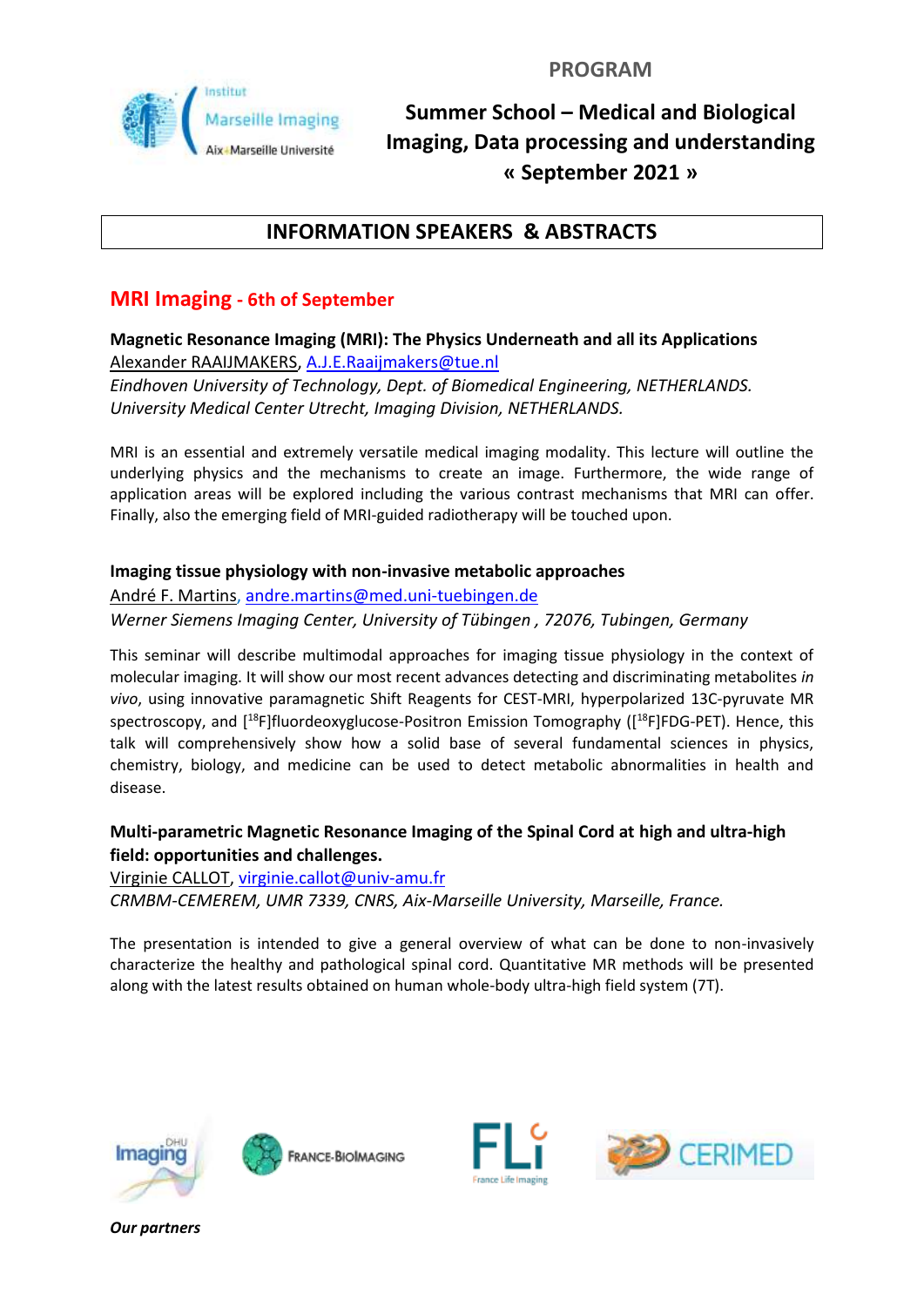

## **INFORMATION SPEAKERS & ABSTRACTS**

## **MRI Imaging - 6th of September**

**Magnetic Resonance Imaging (MRI): The Physics Underneath and all its Applications** Alexander RAAIJMAKERS, [A.J.E.Raaijmakers@tue.nl](mailto:A.J.E.Raaijmakers@tue.nl)

*Eindhoven University of Technology, Dept. of Biomedical Engineering, NETHERLANDS. University Medical Center Utrecht, Imaging Division, NETHERLANDS.*

MRI is an essential and extremely versatile medical imaging modality. This lecture will outline the underlying physics and the mechanisms to create an image. Furthermore, the wide range of application areas will be explored including the various contrast mechanisms that MRI can offer. Finally, also the emerging field of MRI-guided radiotherapy will be touched upon.

#### **Imaging tissue physiology with non-invasive metabolic approaches**

André F. Martins, [andre.martins@med.uni-tuebingen.de](mailto:andre.martins@med.uni-tuebingen.de) *Werner Siemens Imaging Center, University of Tübingen , 72076, Tubingen, Germany*

This seminar will describe multimodal approaches for imaging tissue physiology in the context of molecular imaging. It will show our most recent advances detecting and discriminating metabolites *in vivo*, using innovative paramagnetic Shift Reagents for CEST-MRI, hyperpolarized 13C-pyruvate MR spectroscopy, and [<sup>18</sup>F]fluordeoxyglucose-Positron Emission Tomography ([<sup>18</sup>F]FDG-PET). Hence, this talk will comprehensively show how a solid base of several fundamental sciences in physics, chemistry, biology, and medicine can be used to detect metabolic abnormalities in health and disease.

### **Multi-parametric Magnetic Resonance Imaging of the Spinal Cord at high and ultra-high field: opportunities and challenges.**

Virginie CALLOT, [virginie.callot@univ-amu.fr](mailto:virginie.callot@univ-amu.fr)

*CRMBM-CEMEREM, UMR 7339, CNRS, Aix-Marseille University, Marseille, France.* 

The presentation is intended to give a general overview of what can be done to non-invasively characterize the healthy and pathological spinal cord. Quantitative MR methods will be presented along with the latest results obtained on human whole-body ultra-high field system (7T).







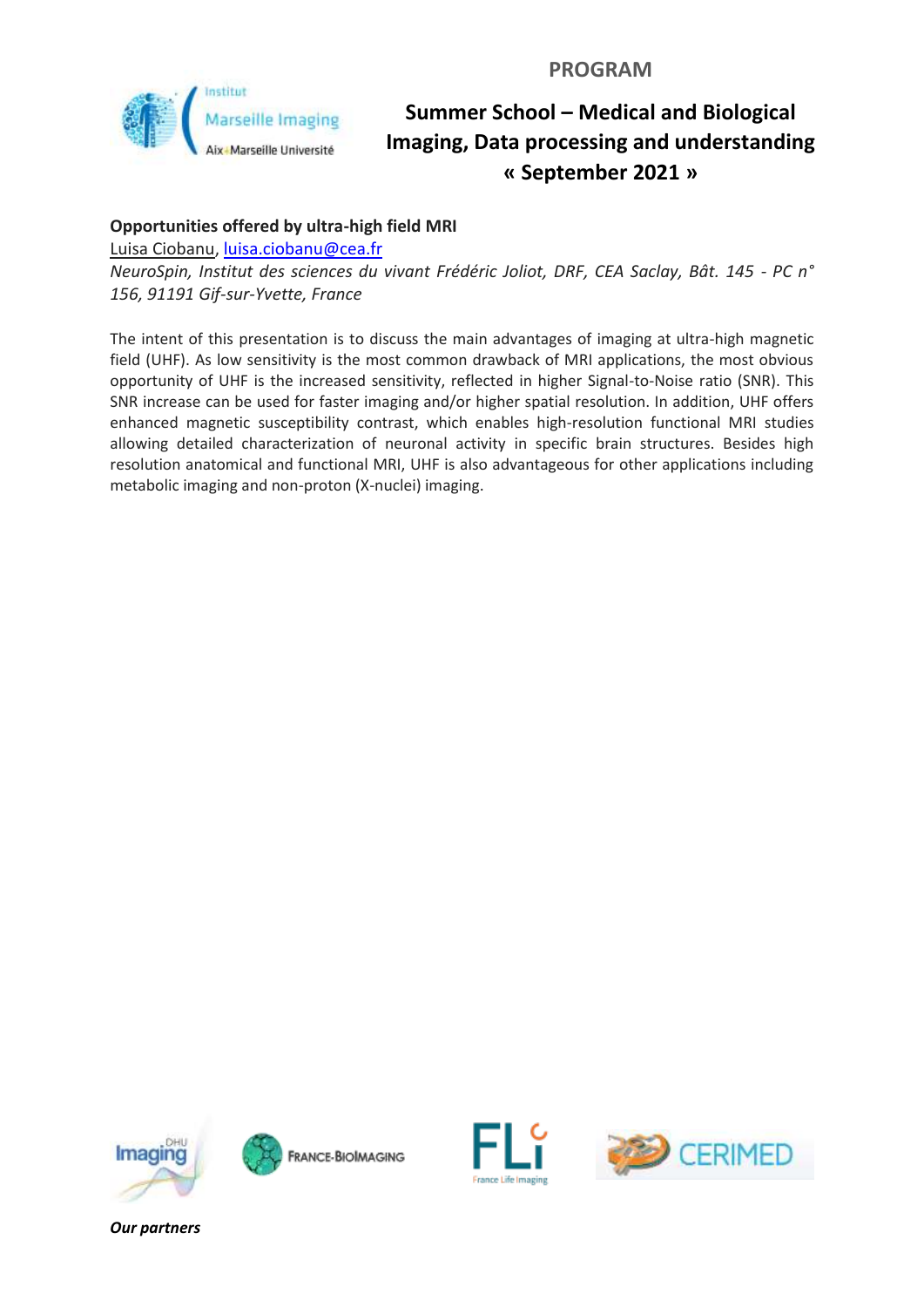

### **Opportunities offered by ultra-high field MRI**

Luisa Ciobanu, [luisa.ciobanu@cea.fr](mailto:luisa.ciobanu@cea.fr)

*NeuroSpin, Institut des sciences du vivant Frédéric Joliot, DRF, CEA Saclay, Bât. 145 - PC n° 156, 91191 Gif-sur-Yvette, France*

The intent of this presentation is to discuss the main advantages of imaging at ultra-high magnetic field (UHF). As low sensitivity is the most common drawback of MRI applications, the most obvious opportunity of UHF is the increased sensitivity, reflected in higher Signal-to-Noise ratio (SNR). This SNR increase can be used for faster imaging and/or higher spatial resolution. In addition, UHF offers enhanced magnetic susceptibility contrast, which enables high-resolution functional MRI studies allowing detailed characterization of neuronal activity in specific brain structures. Besides high resolution anatomical and functional MRI, UHF is also advantageous for other applications including metabolic imaging and non-proton (X-nuclei) imaging.







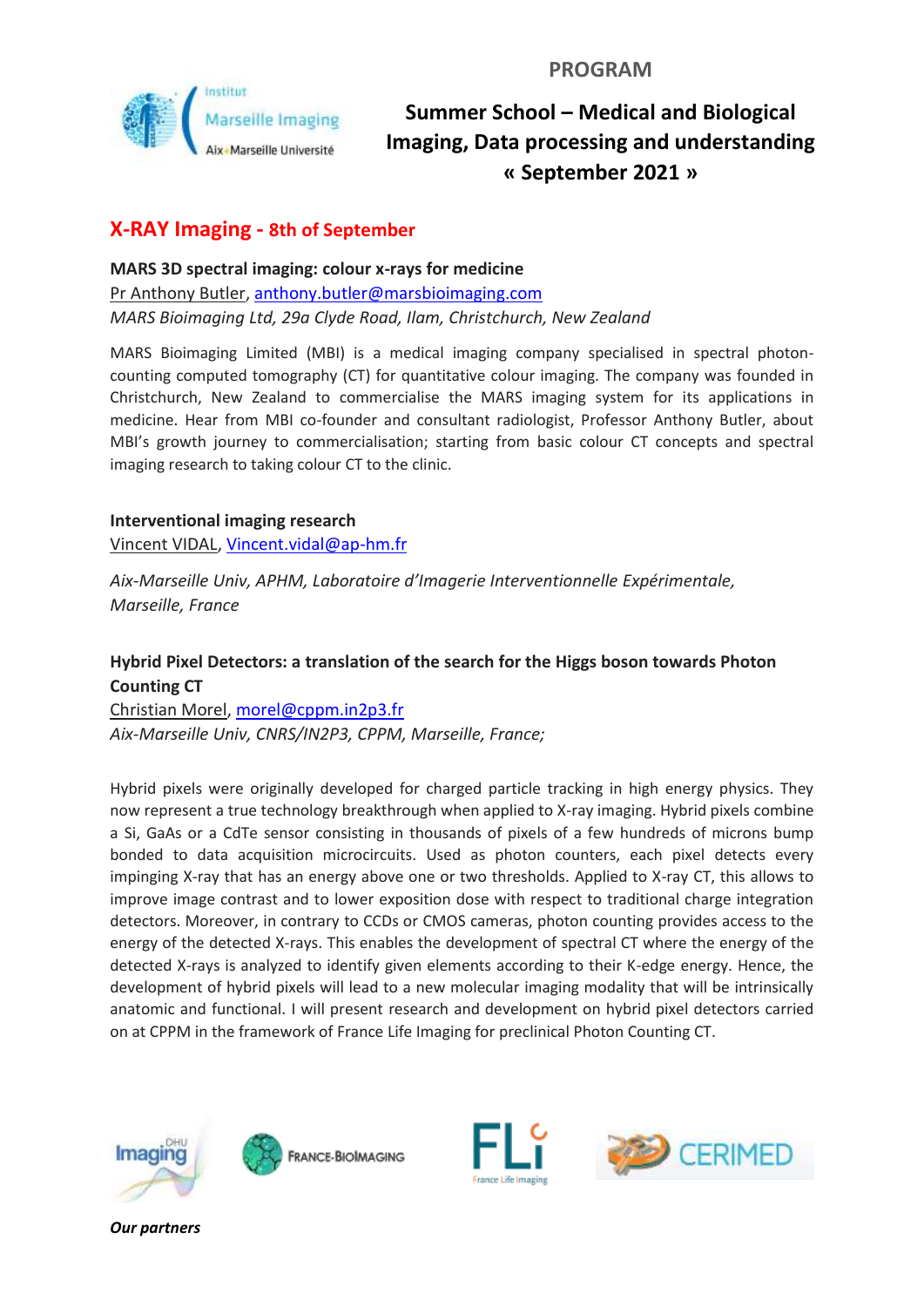

# **X-RAY Imaging - 8th of September**

**MARS 3D spectral imaging: colour x-rays for medicine** Pr Anthony Butler, [anthony.butler@marsbioimaging.com](mailto:anthony.butler@marsbioimaging.com) *MARS Bioimaging Ltd, 29a Clyde Road, Ilam, Christchurch, New Zealand*

MARS Bioimaging Limited (MBI) is a medical imaging company specialised in spectral photoncounting computed tomography (CT) for quantitative colour imaging. The company was founded in Christchurch, New Zealand to commercialise the MARS imaging system for its applications in medicine. Hear from MBI co-founder and consultant radiologist, Professor Anthony Butler, about MBI's growth journey to commercialisation; starting from basic colour CT concepts and spectral imaging research to taking colour CT to the clinic.

**Interventional imaging research** Vincent VIDAL, [Vincent.vidal@ap-hm.fr](mailto:Vincent.vidal@ap-hm.fr)

*Aix-Marseille Univ, APHM, Laboratoire d'Imagerie Interventionnelle Expérimentale, Marseille, France*

### **Hybrid Pixel Detectors: a translation of the search for the Higgs boson towards Photon Counting CT**

Christian Morel, [morel@cppm.in2p3.fr](mailto:morel@cppm.in2p3.fr) *Aix-Marseille Univ, CNRS/IN2P3, CPPM, Marseille, France;*

Hybrid pixels were originally developed for charged particle tracking in high energy physics. They now represent a true technology breakthrough when applied to X-ray imaging. Hybrid pixels combine a Si, GaAs or a CdTe sensor consisting in thousands of pixels of a few hundreds of microns bump bonded to data acquisition microcircuits. Used as photon counters, each pixel detects every impinging X-ray that has an energy above one or two thresholds. Applied to X-ray CT, this allows to improve image contrast and to lower exposition dose with respect to traditional charge integration detectors. Moreover, in contrary to CCDs or CMOS cameras, photon counting provides access to the energy of the detected X-rays. This enables the development of spectral CT where the energy of the detected X-rays is analyzed to identify given elements according to their K-edge energy. Hence, the development of hybrid pixels will lead to a new molecular imaging modality that will be intrinsically anatomic and functional. I will present research and development on hybrid pixel detectors carried on at CPPM in the framework of France Life Imaging for preclinical Photon Counting CT.







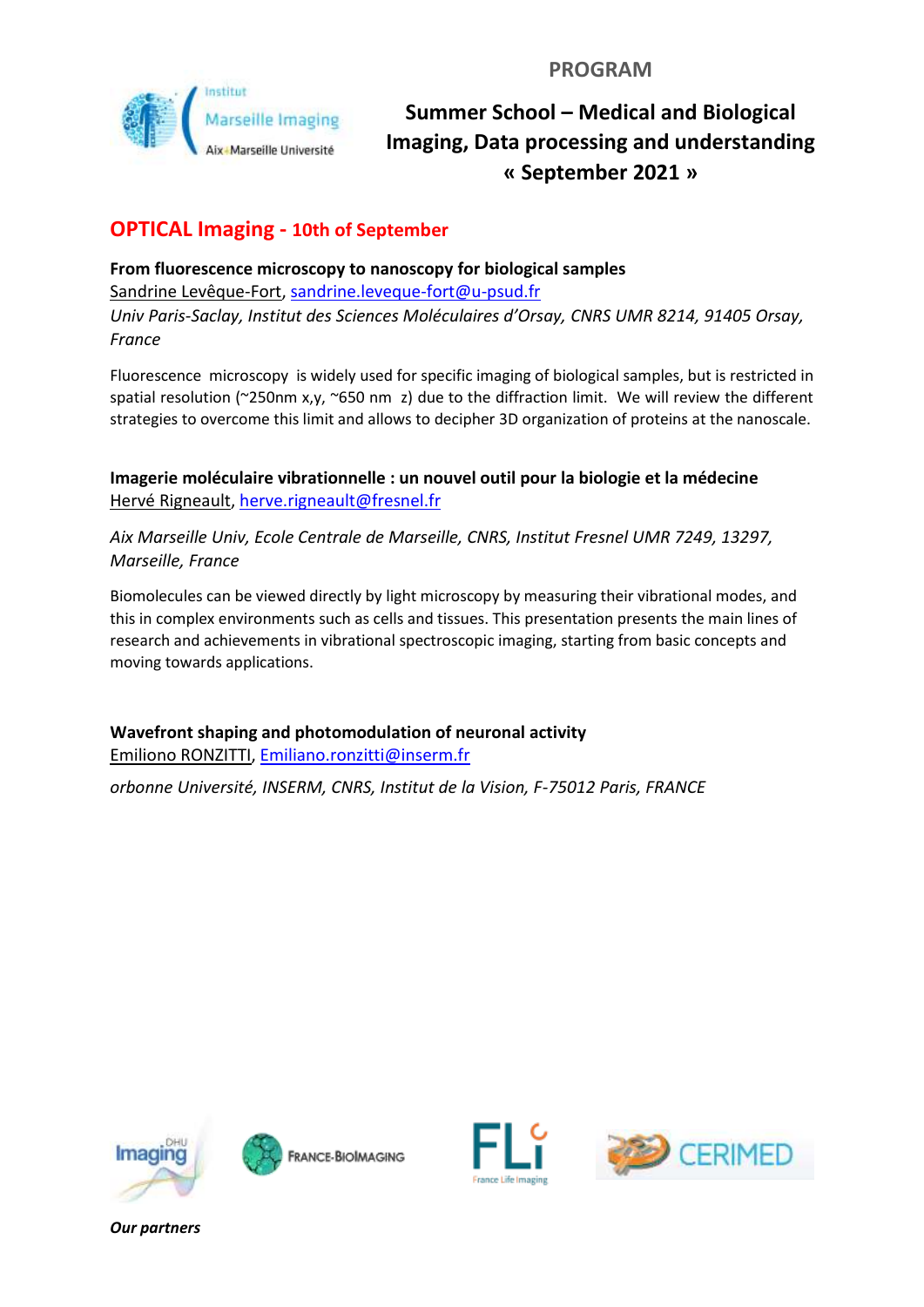

# **OPTICAL Imaging - 10th of September**

**From fluorescence microscopy to nanoscopy for biological samples** Sandrine Levêque-Fort, [sandrine.leveque-fort@u-psud.fr](mailto:sandrine.leveque-fort@u-psud.fr) *Univ Paris-Saclay, Institut des Sciences Moléculaires d'Orsay, CNRS UMR 8214, 91405 Orsay, France*

Fluorescence microscopy is widely used for specific imaging of biological samples, but is restricted in spatial resolution (~250nm x,y, ~650 nm z) due to the diffraction limit. We will review the different strategies to overcome this limit and allows to decipher 3D organization of proteins at the nanoscale.

**Imagerie moléculaire vibrationnelle : un nouvel outil pour la biologie et la médecine** Hervé Rigneault, [herve.rigneault@fresnel.fr](mailto:herve.rigneault@fresnel.fr)

*Aix Marseille Univ, Ecole Centrale de Marseille, CNRS, Institut Fresnel UMR 7249, 13297, Marseille, France*

Biomolecules can be viewed directly by light microscopy by measuring their vibrational modes, and this in complex environments such as cells and tissues. This presentation presents the main lines of research and achievements in vibrational spectroscopic imaging, starting from basic concepts and moving towards applications.

**Wavefront shaping and photomodulation of neuronal activity** Emiliono RONZITTI[, Emiliano.ronzitti@inserm.fr](mailto:Emiliano.ronzitti@inserm.fr)

*orbonne Université, INSERM, CNRS, Institut de la Vision, F-75012 Paris, FRANCE*







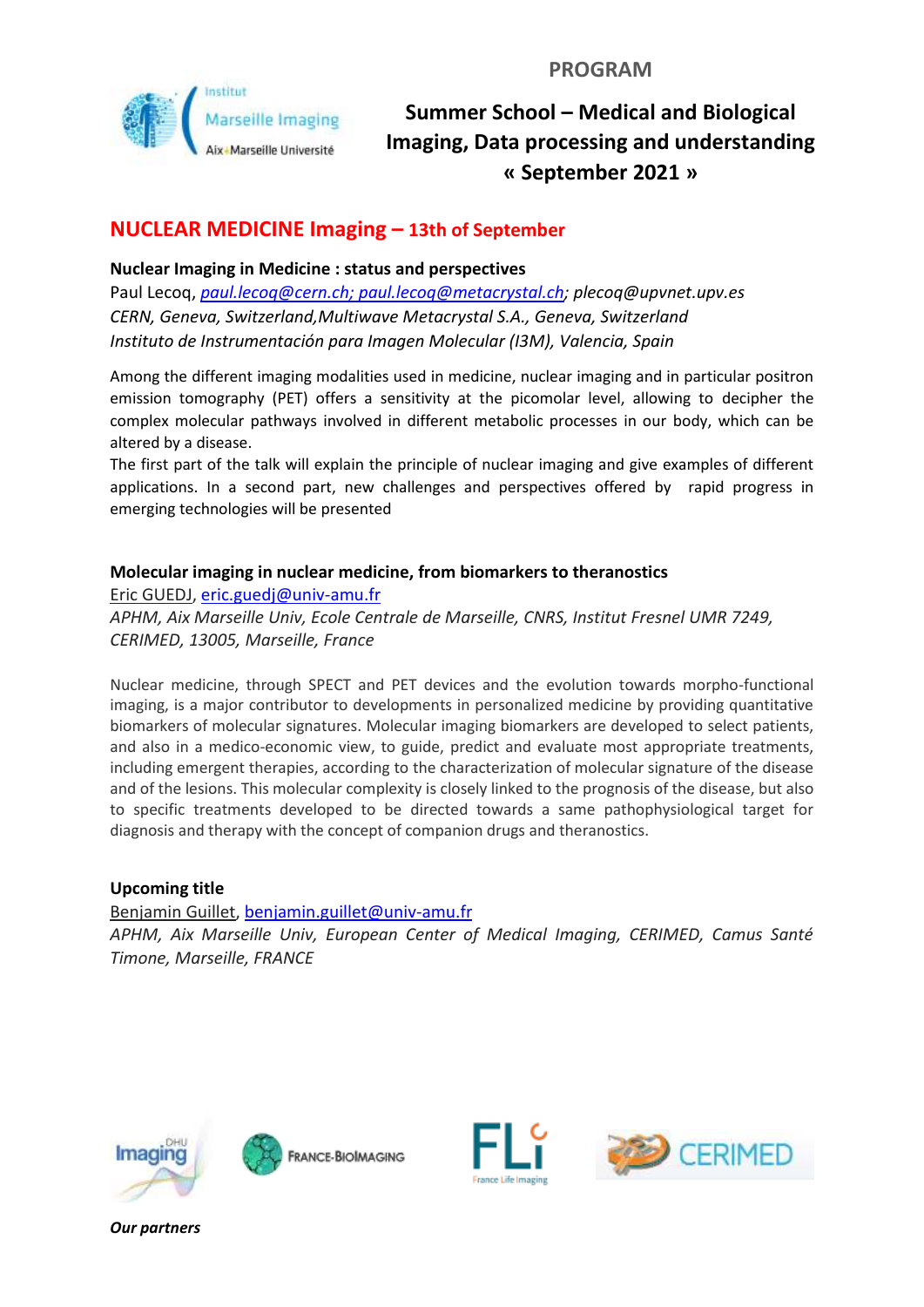

## **NUCLEAR MEDICINE Imaging – 13th of September**

### **Nuclear Imaging in Medicine : status and perspectives**

Paul Lecoq, *[paul.lecoq@cern.ch;](mailto:paul.lecoq@cern.ch) [paul.lecoq@metacrystal.ch;](mailto:paul.lecoq@metacrystal.ch) plecoq@upvnet.upv.es CERN, Geneva, Switzerland,Multiwave Metacrystal S.A., Geneva, Switzerland Instituto de Instrumentación para Imagen Molecular (I3M), Valencia, Spain*

Among the different imaging modalities used in medicine, nuclear imaging and in particular positron emission tomography (PET) offers a sensitivity at the picomolar level, allowing to decipher the complex molecular pathways involved in different metabolic processes in our body, which can be altered by a disease.

The first part of the talk will explain the principle of nuclear imaging and give examples of different applications. In a second part, new challenges and perspectives offered by rapid progress in emerging technologies will be presented

### **Molecular imaging in nuclear medicine, from biomarkers to theranostics**

Eric GUEDJ, [eric.guedj@univ-amu.fr](mailto:eric.guedj@univ-amu.fr)

*APHM, Aix Marseille Univ, Ecole Centrale de Marseille, CNRS, Institut Fresnel UMR 7249, CERIMED, 13005, Marseille, France*

Nuclear medicine, through SPECT and PET devices and the evolution towards morpho-functional imaging, is a major contributor to developments in personalized medicine by providing quantitative biomarkers of molecular signatures. Molecular imaging biomarkers are developed to select patients, and also in a medico-economic view, to guide, predict and evaluate most appropriate treatments, including emergent therapies, according to the characterization of molecular signature of the disease and of the lesions. This molecular complexity is closely linked to the prognosis of the disease, but also to specific treatments developed to be directed towards a same pathophysiological target for diagnosis and therapy with the concept of companion drugs and theranostics.

### **Upcoming title**

Benjamin Guillet, [benjamin.guillet@univ-amu.fr](mailto:benjamin.guillet@univ-amu.fr) *APHM, Aix Marseille Univ, European Center of Medical Imaging, CERIMED, Camus Santé Timone, Marseille, FRANCE*







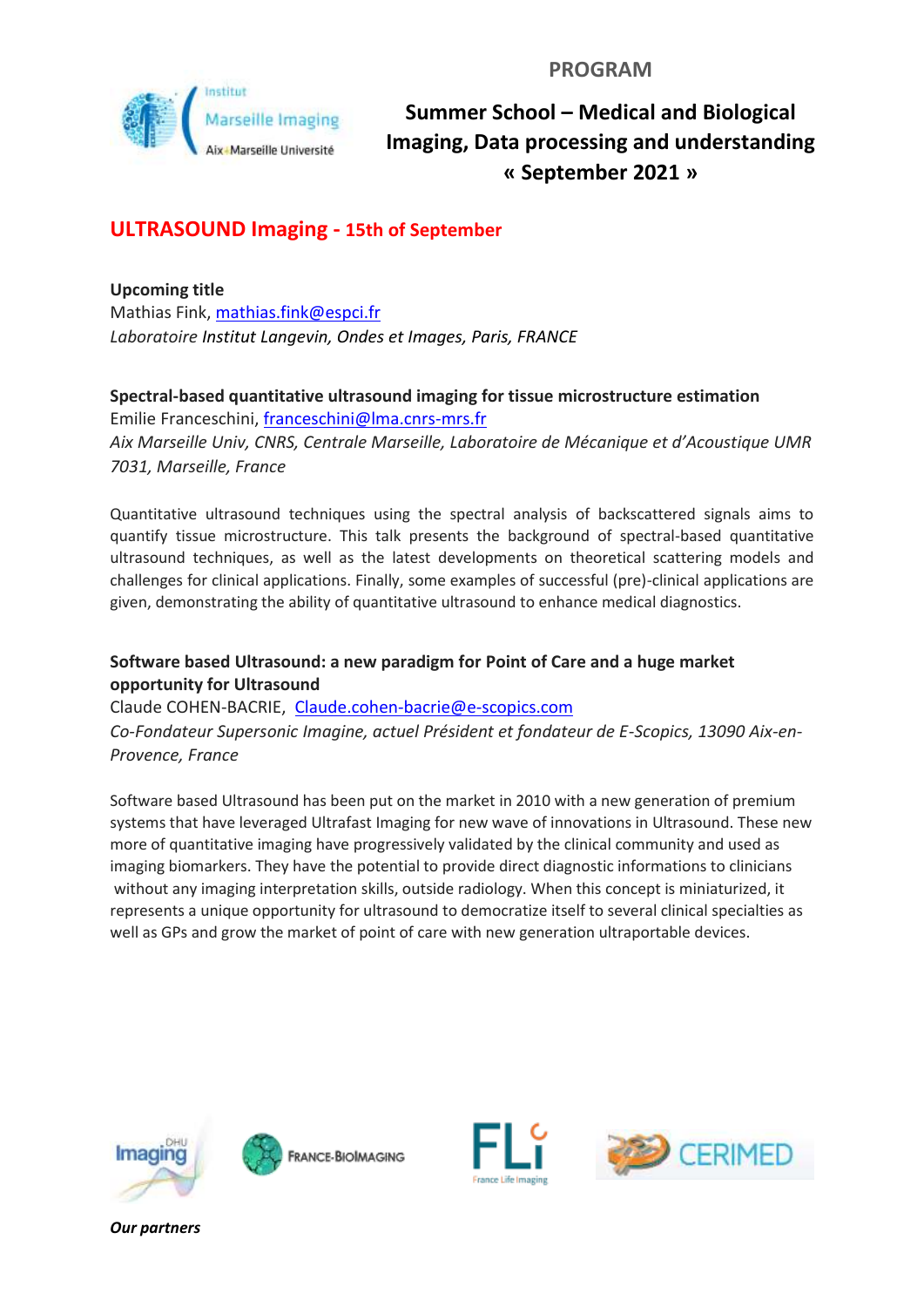

# **ULTRASOUND Imaging - 15th of September**

**Upcoming title** Mathias Fink, [mathias.fink@espci.fr](mailto:mathias.fink@espci.fr) *Laboratoire Institut Langevin, Ondes et Images, Paris, FRANCE*

## **Spectral-based quantitative ultrasound imaging for tissue microstructure estimation**

Emilie Franceschini[, franceschini@lma.cnrs-mrs.fr](mailto:franceschini@lma.cnrs-mrs.fr) *Aix Marseille Univ, CNRS, Centrale Marseille, Laboratoire de Mécanique et d'Acoustique UMR 7031, Marseille, France*

Quantitative ultrasound techniques using the spectral analysis of backscattered signals aims to quantify tissue microstructure. This talk presents the background of spectral-based quantitative ultrasound techniques, as well as the latest developments on theoretical scattering models and challenges for clinical applications. Finally, some examples of successful (pre)-clinical applications are given, demonstrating the ability of quantitative ultrasound to enhance medical diagnostics.

### **Software based Ultrasound: a new paradigm for Point of Care and a huge market opportunity for Ultrasound**

Claude COHEN-BACRIE, [Claude.cohen-bacrie@e-scopics.com](mailto:Claude.cohen-bacrie@e-scopics.com)

*Co-Fondateur Supersonic Imagine, actuel Président et fondateur de E-Scopics, 13090 Aix-en-Provence, France*

Software based Ultrasound has been put on the market in 2010 with a new generation of premium systems that have leveraged Ultrafast Imaging for new wave of innovations in Ultrasound. These new more of quantitative imaging have progressively validated by the clinical community and used as imaging biomarkers. They have the potential to provide direct diagnostic informations to clinicians without any imaging interpretation skills, outside radiology. When this concept is miniaturized, it represents a unique opportunity for ultrasound to democratize itself to several clinical specialties as well as GPs and grow the market of point of care with new generation ultraportable devices.